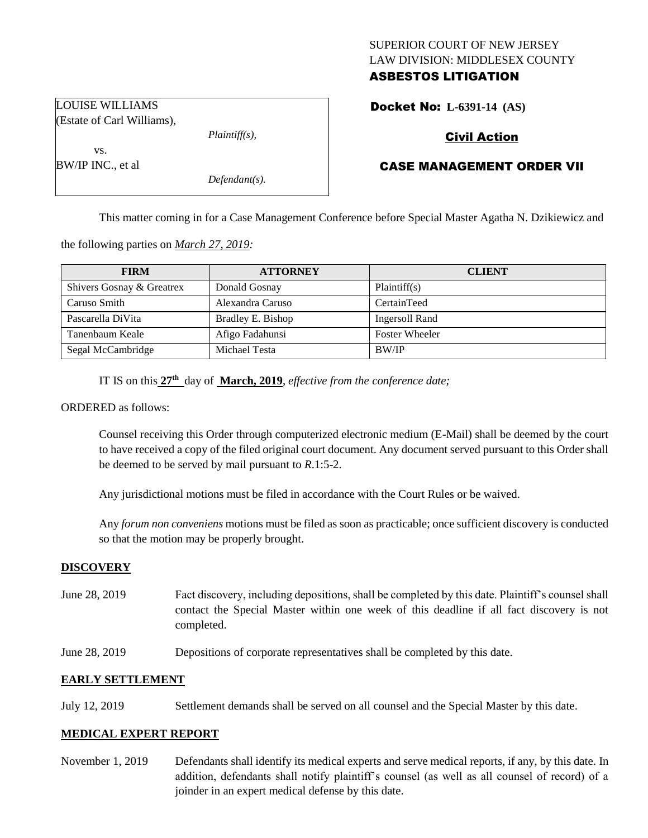# SUPERIOR COURT OF NEW JERSEY LAW DIVISION: MIDDLESEX COUNTY ASBESTOS LITIGATION

Docket No: **L-6391-14 (AS)** 

# Civil Action

# CASE MANAGEMENT ORDER VII

This matter coming in for a Case Management Conference before Special Master Agatha N. Dzikiewicz and

the following parties on *March 27, 2019:*

| <b>FIRM</b>               | <b>ATTORNEY</b>   | <b>CLIENT</b>         |
|---------------------------|-------------------|-----------------------|
| Shivers Gosnay & Greatrex | Donald Gosnay     | Plaintiff(s)          |
| Caruso Smith              | Alexandra Caruso  | CertainTeed           |
| Pascarella DiVita         | Bradley E. Bishop | Ingersoll Rand        |
| Tanenbaum Keale           | Afigo Fadahunsi   | <b>Foster Wheeler</b> |
| Segal McCambridge         | Michael Testa     | <b>BW/IP</b>          |

IT IS on this **27th** day of **March, 2019**, *effective from the conference date;*

ORDERED as follows:

Counsel receiving this Order through computerized electronic medium (E-Mail) shall be deemed by the court to have received a copy of the filed original court document. Any document served pursuant to this Order shall be deemed to be served by mail pursuant to *R*.1:5-2.

Any jurisdictional motions must be filed in accordance with the Court Rules or be waived.

Any *forum non conveniens* motions must be filed as soon as practicable; once sufficient discovery is conducted so that the motion may be properly brought.

# **DISCOVERY**

- June 28, 2019 Fact discovery, including depositions, shall be completed by this date. Plaintiff's counsel shall contact the Special Master within one week of this deadline if all fact discovery is not completed.
- June 28, 2019 Depositions of corporate representatives shall be completed by this date.

# **EARLY SETTLEMENT**

July 12, 2019 Settlement demands shall be served on all counsel and the Special Master by this date.

### **MEDICAL EXPERT REPORT**

November 1, 2019 Defendants shall identify its medical experts and serve medical reports, if any, by this date. In addition, defendants shall notify plaintiff's counsel (as well as all counsel of record) of a joinder in an expert medical defense by this date.

LOUISE WILLIAMS (Estate of Carl Williams),

*Plaintiff(s),*

vs. BW/IP INC., et al

*Defendant(s).*